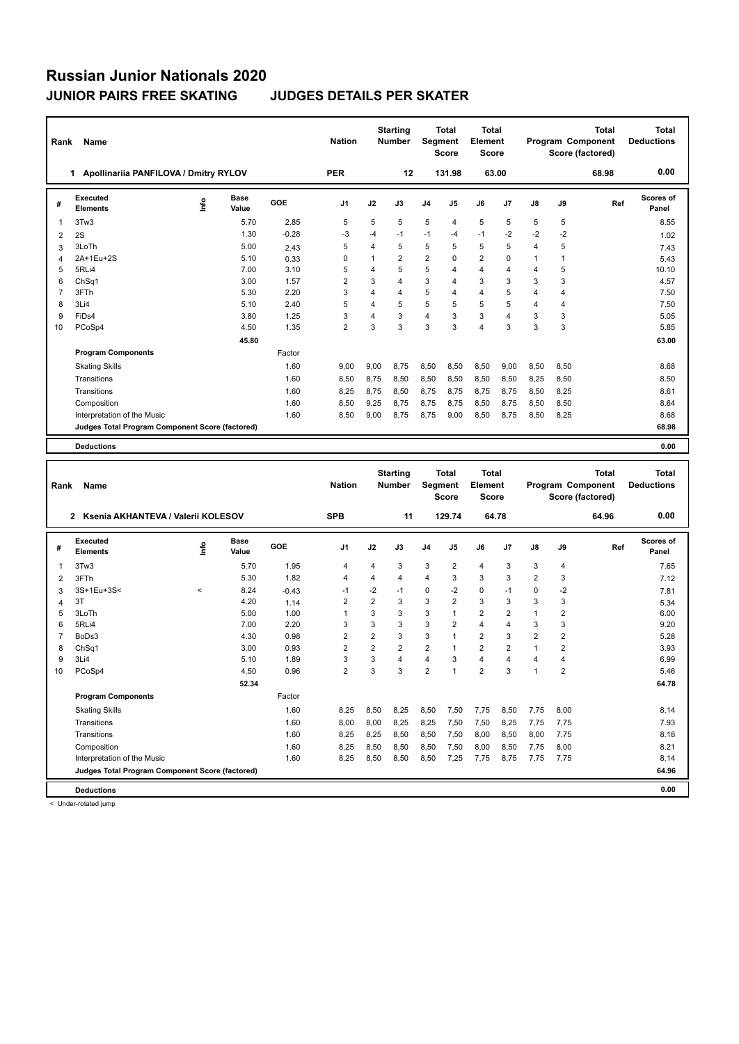| Rank           | Name                                            |         |               |         | <b>Nation</b>  |                | <b>Starting</b><br><b>Number</b> | Segment        | Total<br><b>Score</b> | <b>Total</b><br>Element<br>Score |      |                |                | Total<br>Program Component<br>Score (factored) | Total<br><b>Deductions</b>        |
|----------------|-------------------------------------------------|---------|---------------|---------|----------------|----------------|----------------------------------|----------------|-----------------------|----------------------------------|------|----------------|----------------|------------------------------------------------|-----------------------------------|
|                | 1 Apollinariia PANFILOVA / Dmitry RYLOV         |         |               |         | <b>PER</b>     |                | 12                               |                | 131.98                | 63.00                            |      |                |                | 68.98                                          | 0.00                              |
| #              | <b>Executed</b><br><b>Elements</b>              | ۴۵      | Base<br>Value | GOE     | J1             | J2             | J3                               | J4             | J5                    | J6                               | J7   | J8             | J9             | Ref                                            | Scores of<br>Panel                |
| 1              | 3Tw3                                            |         | 5.70          | 2.85    | 5              | 5              | 5                                | 5              | 4                     | 5                                | 5    | 5              | 5              |                                                | 8.55                              |
| 2              | 2S                                              |         | 1.30          | $-0.28$ | $-3$           | $-4$           | $-1$                             | $-1$           | -4                    | $-1$                             | $-2$ | $-2$           | $-2$           |                                                | 1.02                              |
| 3              | 3LoTh                                           |         | 5.00          | 2.43    | 5              | 4              | 5                                | 5              | 5                     | 5                                | 5    | $\overline{4}$ | 5              |                                                | 7.43                              |
| $\overline{4}$ | 2A+1Eu+2S                                       |         | 5.10          | 0.33    | 0              | 1              | $\overline{2}$                   | $\overline{2}$ | 0                     | $\overline{2}$                   | 0    | 1              | $\mathbf{1}$   |                                                | 5.43                              |
| 5              | 5RLi4                                           |         | 7.00          | 3.10    | 5              | 4              | 5                                | 5              | 4                     | 4                                | 4    | $\overline{4}$ | 5              |                                                | 10.10                             |
| 6              | ChSq1                                           |         | 3.00          | 1.57    | 2              | 3              | $\overline{4}$                   | 3              | 4                     | 3                                | 3    | 3              | 3              |                                                | 4.57                              |
| $\overline{7}$ | 3FTh                                            |         | 5.30          | 2.20    | 3              | 4              | $\overline{4}$                   | 5              | 4                     | 4                                | 5    | $\overline{4}$ | 4              |                                                | 7.50                              |
| 8              | 3Li4                                            |         | 5.10          | 2.40    | 5              | 4              | 5                                | 5              | 5                     | 5                                | 5    | $\overline{4}$ | $\overline{4}$ |                                                | 7.50                              |
| 9              | FiDs4                                           |         | 3.80          | 1.25    | 3              | 4              | 3                                | $\overline{4}$ | 3                     | 3                                | 4    | 3              | 3              |                                                | 5.05                              |
| 10             | PCoSp4                                          |         | 4.50          | 1.35    | 2              | 3              | 3                                | 3              | 3                     | 4                                | 3    | 3              | 3              |                                                | 5.85                              |
|                |                                                 |         | 45.80         |         |                |                |                                  |                |                       |                                  |      |                |                |                                                | 63.00                             |
|                | <b>Program Components</b>                       |         |               | Factor  |                |                |                                  |                |                       |                                  |      |                |                |                                                |                                   |
|                | <b>Skating Skills</b>                           |         |               | 1.60    | 9,00           | 9,00           | 8,75                             | 8,50           | 8,50                  | 8,50                             | 9,00 | 8,50           | 8,50           |                                                | 8.68                              |
|                | Transitions                                     |         |               | 1.60    | 8,50           | 8,75           | 8,50                             | 8,50           | 8,50                  | 8,50                             | 8,50 | 8,25           | 8,50           |                                                | 8.50                              |
|                | Transitions                                     |         |               | 1.60    | 8,25           | 8,75           | 8,50                             | 8,75           | 8,75                  | 8,75                             | 8,75 | 8,50           | 8,25           |                                                | 8.61                              |
|                | Composition                                     |         |               | 1.60    | 8,50           | 9,25           | 8,75                             | 8,75           | 8,75                  | 8,50                             | 8,75 | 8,50           | 8,50           |                                                | 8.64                              |
|                | Interpretation of the Music                     |         |               | 1.60    | 8,50           | 9,00           | 8,75                             | 8,75           | 9,00                  | 8,50                             | 8,75 | 8,50           | 8,25           |                                                | 8.68                              |
|                | Judges Total Program Component Score (factored) |         |               |         |                |                |                                  |                |                       |                                  |      |                |                |                                                | 68.98                             |
|                |                                                 |         |               |         |                |                |                                  |                |                       |                                  |      |                |                |                                                |                                   |
|                | <b>Deductions</b>                               |         |               |         |                |                |                                  |                |                       |                                  |      |                |                |                                                | 0.00                              |
|                |                                                 |         |               |         |                |                |                                  |                |                       |                                  |      |                |                |                                                |                                   |
| Rank           | Name                                            |         |               |         | <b>Nation</b>  |                | <b>Starting</b><br>Number        | Segment        | Total                 | <b>Total</b><br><b>Element</b>   |      |                |                | <b>Total</b><br>Program Component              | <b>Total</b><br><b>Deductions</b> |
|                |                                                 |         |               |         |                |                |                                  |                | <b>Score</b>          | Score                            |      |                |                | Score (factored)                               |                                   |
|                | 2 Ksenia AKHANTEVA / Valerii KOLESOV            |         |               |         | <b>SPB</b>     |                | 11                               |                | 129.74                | 64.78                            |      |                |                | 64.96                                          | 0.00                              |
| #              | <b>Executed</b><br><b>Elements</b>              | ١nf٥    | Base<br>Value | GOE     | J1             | J2             | J3                               | J4             | J5                    | J6                               | J7   | J8             | J9             | Ref                                            | Scores of<br>Panel                |
| 1              | 3Tw3                                            |         | 5.70          | 1.95    | 4              | 4              | 3                                | 3              | 2                     | 4                                | 3    | 3              | 4              |                                                | 7.65                              |
| 2              | 3FTh                                            |         | 5.30          | 1.82    | 4              | 4              | $\overline{4}$                   | 4              | 3                     | 3                                | 3    | $\overline{2}$ | 3              |                                                | 7.12                              |
| 3              | 3S+1Eu+3S<                                      | $\,<\,$ | 8.24          | $-0.43$ | $-1$           | $-2$           | -1                               | 0              | $-2$                  | 0                                | $-1$ | 0              | $-2$           |                                                | 7.81                              |
| 4              | 3T                                              |         | 4.20          | 1.14    | 2              | 2              | 3                                | 3              | 2                     | 3                                | 3    | 3              | 3              |                                                | 5.34                              |
| 5              | 3LoTh                                           |         | 5.00          | 1.00    | 1              | 3              | 3                                | 3              | 1                     | $\overline{2}$                   | 2    | 1              | $\overline{2}$ |                                                | 6.00                              |
| 6              | 5RLi4                                           |         | 7.00          | 2.20    | 3              | 3              | 3                                | 3              | $\overline{2}$        | 4                                | 4    | 3              | 3              |                                                | 9.20                              |
| $\overline{7}$ | BoDs3                                           |         | 4.30          | 0.98    | 2              | $\overline{2}$ | 3                                | 3              | 1                     | 2                                | 3    | $\overline{2}$ | $\mathbf 2$    |                                                | 5.28                              |
| 8              | ChSq1                                           |         | 3.00          | 0.93    | 2              | 2              | $\overline{2}$                   | 2              | 1                     | 2                                | 2    | 1              | $\overline{2}$ |                                                | 3.93                              |
| 9              | 3Li4                                            |         | 5.10          | 1.89    | 3              | 3              | $\overline{4}$                   | $\overline{4}$ | 3                     | $\overline{4}$                   | 4    | $\overline{4}$ | 4              |                                                | 6.99                              |
| 10             | PCoSp4                                          |         | 4.50          | 0.96    | $\overline{2}$ | 3              | 3                                | $\overline{2}$ | 1                     | $\overline{2}$                   | 3    | 1              | $\overline{2}$ |                                                | 5.46                              |
|                |                                                 |         | 52.34         |         |                |                |                                  |                |                       |                                  |      |                |                |                                                | 64.78                             |
|                | <b>Program Components</b>                       |         |               | Factor  |                |                |                                  |                |                       |                                  |      |                |                |                                                |                                   |
|                | <b>Skating Skills</b>                           |         |               | 1.60    | 8,25           | 8,50           | 8,25                             | 8,50           | 7,50                  | 7,75                             | 8,50 | 7,75           | 8,00           |                                                | 8.14                              |
|                | Transitions                                     |         |               | 1.60    | 8,00           | 8,00           | 8,25                             | 8,25           | 7,50                  | 7,50                             | 8,25 | 7,75           | 7,75           |                                                | 7.93                              |
|                | Transitions                                     |         |               | 1.60    | 8,25           | 8,25           | 8,50                             | 8,50           | 7,50                  | 8,00                             | 8,50 | 8,00           | 7,75           |                                                | 8.18                              |
|                | Composition                                     |         |               | 1.60    | 8,25           | 8,50           | 8,50                             | 8,50           | 7,50                  | 8,00                             | 8,50 | 7,75           | 8,00           |                                                | 8.21                              |
|                | Interpretation of the Music                     |         |               | 1.60    | 8,25           | 8,50           | 8,50                             | 8,50           | 7,25                  | 7,75                             | 8,75 | 7,75           | 7,75           |                                                | 8.14                              |
|                | Judges Total Program Component Score (factored) |         |               |         |                |                |                                  |                |                       |                                  |      |                |                |                                                | 64.96                             |

< Under-rotated jump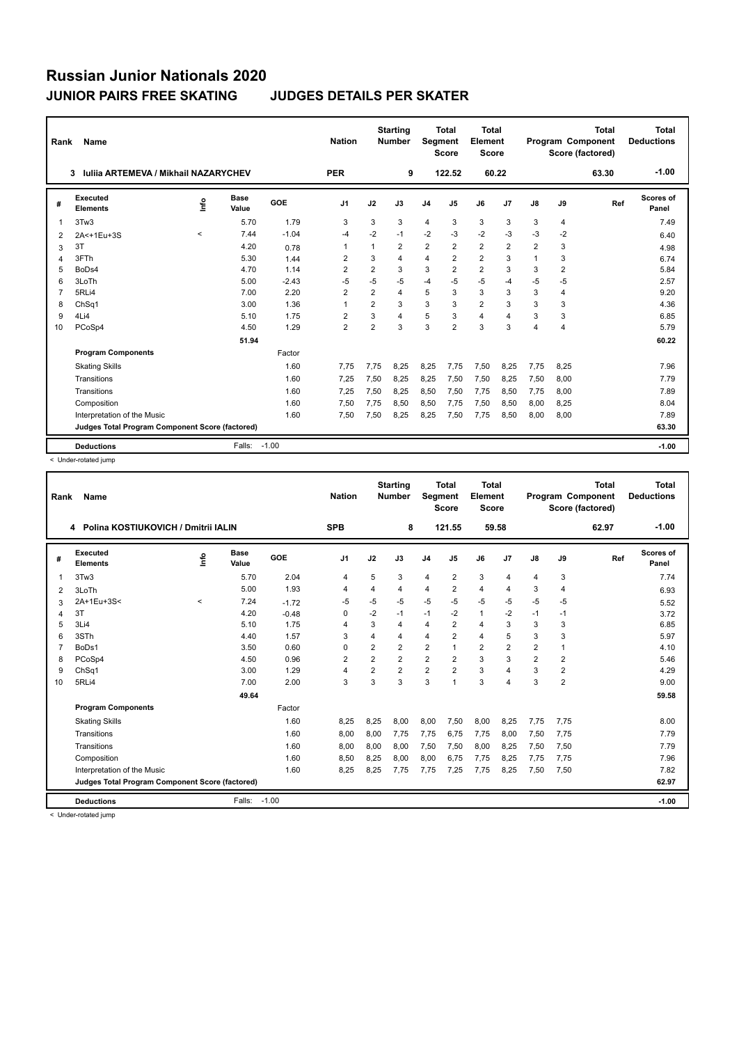| Rank           | <b>Name</b>                                     |         |                      |         | <b>Nation</b>  |                         | <b>Starting</b><br><b>Number</b> | <b>Segment</b>          | <b>Total</b><br><b>Score</b> | <b>Total</b><br>Element<br><b>Score</b> |                         |                |      | <b>Total</b><br><b>Program Component</b><br>Score (factored) | <b>Total</b><br><b>Deductions</b> |
|----------------|-------------------------------------------------|---------|----------------------|---------|----------------|-------------------------|----------------------------------|-------------------------|------------------------------|-----------------------------------------|-------------------------|----------------|------|--------------------------------------------------------------|-----------------------------------|
|                | Iuliia ARTEMEVA / Mikhail NAZARYCHEV<br>3       |         |                      |         | <b>PER</b>     |                         | 9                                |                         | 122.52                       | 60.22                                   |                         |                |      | 63.30                                                        | $-1.00$                           |
| #              | Executed<br><b>Elements</b>                     | lnfo    | <b>Base</b><br>Value | GOE     | J <sub>1</sub> | J2                      | J3                               | J <sub>4</sub>          | J <sub>5</sub>               | J6                                      | J7                      | J8             | J9   | Ref                                                          | Scores of<br>Panel                |
| $\overline{1}$ | 3Tw3                                            |         | 5.70                 | 1.79    | 3              | 3                       | 3                                | $\overline{4}$          | 3                            | 3                                       | 3                       | 3              | 4    |                                                              | 7.49                              |
| 2              | 2A<+1Eu+3S                                      | $\prec$ | 7.44                 | $-1.04$ | -4             | $-2$                    | $-1$                             | $-2$                    | $-3$                         | $-2$                                    | $-3$                    | $-3$           | $-2$ |                                                              | 6.40                              |
| 3              | 3T                                              |         | 4.20                 | 0.78    | 1              | $\overline{\mathbf{1}}$ | $\overline{2}$                   | $\overline{2}$          | $\overline{2}$               | $\overline{2}$                          | $\overline{2}$          | 2              | 3    |                                                              | 4.98                              |
| 4              | 3FTh                                            |         | 5.30                 | 1.44    | 2              | 3                       | 4                                | $\overline{\mathbf{4}}$ | $\overline{2}$               | $\overline{2}$                          | 3                       | $\overline{1}$ | 3    |                                                              | 6.74                              |
| 5              | BoDs4                                           |         | 4.70                 | 1.14    | $\overline{2}$ | $\overline{2}$          | 3                                | 3                       | $\overline{2}$               | $\overline{2}$                          | 3                       | 3              | 2    |                                                              | 5.84                              |
| 6              | 3LoTh                                           |         | 5.00                 | $-2.43$ | -5             | $-5$                    | $-5$                             | $-4$                    | $-5$                         | $-5$                                    | $-4$                    | $-5$           | $-5$ |                                                              | 2.57                              |
| $\overline{7}$ | 5RLi4                                           |         | 7.00                 | 2.20    | $\overline{2}$ | $\overline{2}$          | 4                                | 5                       | 3                            | 3                                       | 3                       | 3              | 4    |                                                              | 9.20                              |
| 8              | ChSq1                                           |         | 3.00                 | 1.36    | 1              | $\overline{2}$          | 3                                | 3                       | 3                            | $\overline{2}$                          | 3                       | 3              | 3    |                                                              | 4.36                              |
| 9              | 4Li4                                            |         | 5.10                 | 1.75    | $\overline{2}$ | 3                       | 4                                | 5                       | 3                            | 4                                       | $\overline{\mathbf{A}}$ | 3              | 3    |                                                              | 6.85                              |
| 10             | PCoSp4                                          |         | 4.50                 | 1.29    | $\overline{2}$ | $\overline{2}$          | 3                                | 3                       | $\overline{2}$               | 3                                       | 3                       | 4              | 4    |                                                              | 5.79                              |
|                |                                                 |         | 51.94                |         |                |                         |                                  |                         |                              |                                         |                         |                |      |                                                              | 60.22                             |
|                | <b>Program Components</b>                       |         |                      | Factor  |                |                         |                                  |                         |                              |                                         |                         |                |      |                                                              |                                   |
|                | <b>Skating Skills</b>                           |         |                      | 1.60    | 7.75           | 7.75                    | 8.25                             | 8,25                    | 7.75                         | 7,50                                    | 8,25                    | 7.75           | 8,25 |                                                              | 7.96                              |
|                | Transitions                                     |         |                      | 1.60    | 7,25           | 7,50                    | 8,25                             | 8,25                    | 7,50                         | 7,50                                    | 8,25                    | 7,50           | 8,00 |                                                              | 7.79                              |
|                | Transitions                                     |         |                      | 1.60    | 7.25           | 7,50                    | 8.25                             | 8,50                    | 7,50                         | 7.75                                    | 8,50                    | 7.75           | 8.00 |                                                              | 7.89                              |
|                | Composition                                     |         |                      | 1.60    | 7,50           | 7,75                    | 8,50                             | 8,50                    | 7,75                         | 7,50                                    | 8,50                    | 8.00           | 8,25 |                                                              | 8.04                              |
|                | Interpretation of the Music                     |         |                      | 1.60    | 7,50           | 7,50                    | 8,25                             | 8,25                    | 7,50                         | 7,75                                    | 8,50                    | 8,00           | 8.00 |                                                              | 7.89                              |
|                | Judges Total Program Component Score (factored) |         |                      |         |                |                         |                                  |                         |                              |                                         |                         |                |      |                                                              | 63.30                             |
|                | <b>Deductions</b>                               |         | Falls:               | $-1.00$ |                |                         |                                  |                         |                              |                                         |                         |                |      |                                                              | $-1.00$                           |

< Under-rotated jump

| Rank           | Name                                            |         |                      |         | <b>Nation</b>  |                | <b>Starting</b><br><b>Number</b> | Segment        | <b>Total</b><br><b>Score</b> | <b>Total</b><br>Element<br><b>Score</b> |                |                |                | <b>Total</b><br>Program Component<br>Score (factored) | <b>Total</b><br><b>Deductions</b> |
|----------------|-------------------------------------------------|---------|----------------------|---------|----------------|----------------|----------------------------------|----------------|------------------------------|-----------------------------------------|----------------|----------------|----------------|-------------------------------------------------------|-----------------------------------|
|                | 4 Polina KOSTIUKOVICH / Dmitrii IALIN           |         |                      |         | <b>SPB</b>     |                | 8                                |                | 121.55                       |                                         | 59.58          |                |                | 62.97                                                 | $-1.00$                           |
| #              | Executed<br><b>Elements</b>                     | ١nfo    | <b>Base</b><br>Value | GOE     | J <sub>1</sub> | J2             | J3                               | J <sub>4</sub> | J5                           | J6                                      | J7             | J8             | J9             | Ref                                                   | <b>Scores of</b><br>Panel         |
| 1              | 3Tw3                                            |         | 5.70                 | 2.04    | $\overline{4}$ | 5              | 3                                | $\overline{4}$ | $\overline{2}$               | 3                                       | $\overline{4}$ | $\overline{4}$ | 3              |                                                       | 7.74                              |
| $\overline{2}$ | 3LoTh                                           |         | 5.00                 | 1.93    | 4              | 4              | 4                                | $\overline{4}$ | $\overline{2}$               | 4                                       | 4              | 3              | 4              |                                                       | 6.93                              |
| 3              | 2A+1Eu+3S<                                      | $\prec$ | 7.24                 | $-1.72$ | $-5$           | $-5$           | $-5$                             | $-5$           | $-5$                         | $-5$                                    | $-5$           | $-5$           | $-5$           |                                                       | 5.52                              |
| 4              | 3T                                              |         | 4.20                 | $-0.48$ | 0              | $-2$           | $-1$                             | $-1$           | $-2$                         | $\mathbf{1}$                            | $-2$           | $-1$           | $-1$           |                                                       | 3.72                              |
| 5              | 3Li4                                            |         | 5.10                 | 1.75    | 4              | 3              | 4                                | $\overline{4}$ | $\overline{2}$               | $\overline{4}$                          | 3              | 3              | 3              |                                                       | 6.85                              |
| 6              | 3STh                                            |         | 4.40                 | 1.57    | 3              | 4              | 4                                | $\overline{4}$ | $\overline{2}$               | $\overline{4}$                          | 5              | 3              | 3              |                                                       | 5.97                              |
| $\overline{7}$ | BoDs1                                           |         | 3.50                 | 0.60    | $\Omega$       | 2              | $\overline{2}$                   | $\overline{2}$ | 1                            | $\overline{2}$                          | $\overline{2}$ | 2              | 1              |                                                       | 4.10                              |
| 8              | PCoSp4                                          |         | 4.50                 | 0.96    | $\overline{2}$ | $\overline{2}$ | $\overline{2}$                   | $\overline{2}$ | $\overline{2}$               | 3                                       | 3              | $\overline{2}$ | $\overline{2}$ |                                                       | 5.46                              |
| 9              | ChSq1                                           |         | 3.00                 | 1.29    | $\overline{4}$ | $\overline{2}$ | $\overline{2}$                   | $\overline{2}$ | $\overline{2}$               | 3                                       | 4              | 3              | $\overline{2}$ |                                                       | 4.29                              |
| 10             | 5RLi4                                           |         | 7.00                 | 2.00    | 3              | 3              | 3                                | 3              | 1                            | 3                                       | 4              | 3              | 2              |                                                       | 9.00                              |
|                |                                                 |         | 49.64                |         |                |                |                                  |                |                              |                                         |                |                |                |                                                       | 59.58                             |
|                | <b>Program Components</b>                       |         |                      | Factor  |                |                |                                  |                |                              |                                         |                |                |                |                                                       |                                   |
|                | <b>Skating Skills</b>                           |         |                      | 1.60    | 8,25           | 8,25           | 8.00                             | 8,00           | 7,50                         | 8,00                                    | 8,25           | 7.75           | 7,75           |                                                       | 8.00                              |
|                | Transitions                                     |         |                      | 1.60    | 8,00           | 8,00           | 7,75                             | 7,75           | 6,75                         | 7,75                                    | 8,00           | 7,50           | 7,75           |                                                       | 7.79                              |
|                | Transitions                                     |         |                      | 1.60    | 8.00           | 8,00           | 8.00                             | 7,50           | 7,50                         | 8,00                                    | 8,25           | 7,50           | 7,50           |                                                       | 7.79                              |
|                | Composition                                     |         |                      | 1.60    | 8,50           | 8,25           | 8,00                             | 8,00           | 6,75                         | 7,75                                    | 8,25           | 7.75           | 7,75           |                                                       | 7.96                              |
|                | Interpretation of the Music                     |         |                      | 1.60    | 8,25           | 8,25           | 7,75                             | 7,75           | 7,25                         | 7,75                                    | 8,25           | 7,50           | 7,50           |                                                       | 7.82                              |
|                | Judges Total Program Component Score (factored) |         |                      |         |                |                |                                  |                |                              |                                         |                |                |                |                                                       | 62.97                             |
|                |                                                 |         |                      |         |                |                |                                  |                |                              |                                         |                |                |                |                                                       |                                   |
|                | <b>Deductions</b>                               |         | Falls:               | $-1.00$ |                |                |                                  |                |                              |                                         |                |                |                |                                                       | $-1.00$                           |
|                | - Under retated jumn                            |         |                      |         |                |                |                                  |                |                              |                                         |                |                |                |                                                       |                                   |

< Under-rotated jump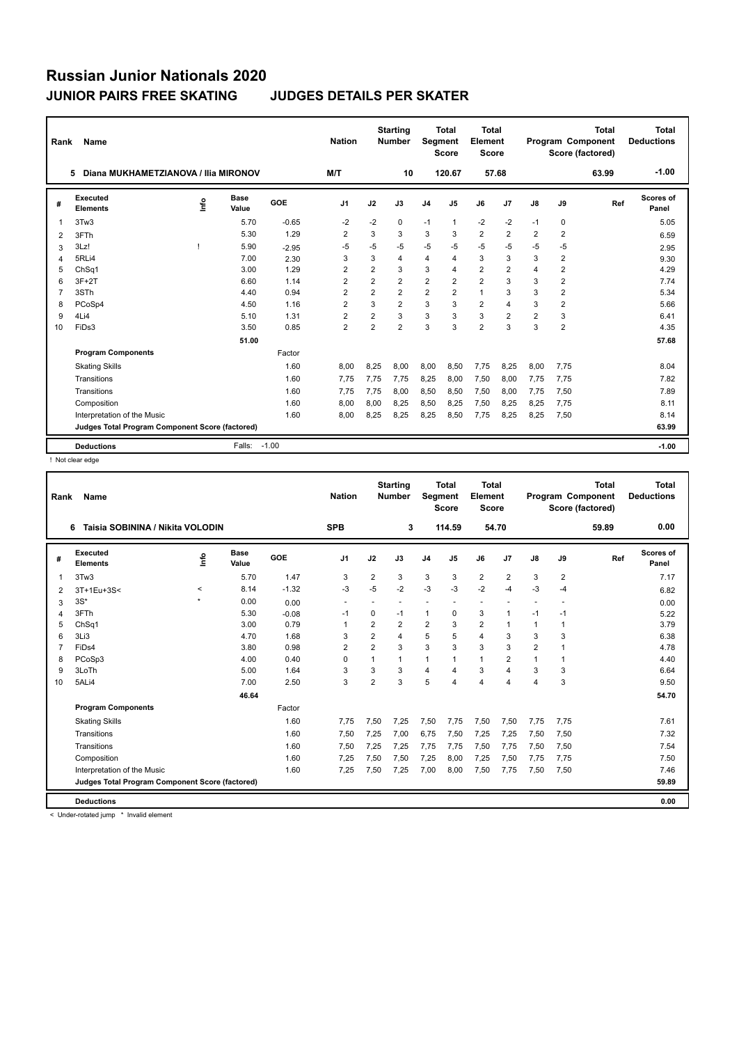| Rank           | Name                                            |      |                      |         | <b>Nation</b>           |                | <b>Starting</b><br><b>Number</b> | Segment        | <b>Total</b><br><b>Score</b> | <b>Total</b><br>Element<br><b>Score</b> |                         |                |                         | <b>Total</b><br><b>Program Component</b><br>Score (factored) | Total<br><b>Deductions</b> |
|----------------|-------------------------------------------------|------|----------------------|---------|-------------------------|----------------|----------------------------------|----------------|------------------------------|-----------------------------------------|-------------------------|----------------|-------------------------|--------------------------------------------------------------|----------------------------|
|                | Diana MUKHAMETZIANOVA / Ilia MIRONOV<br>5       |      |                      |         | M/T                     |                | 10                               |                | 120.67                       | 57.68                                   |                         |                |                         | 63.99                                                        | $-1.00$                    |
| #              | Executed<br><b>Elements</b>                     | lnfo | <b>Base</b><br>Value | GOE     | J <sub>1</sub>          | J2             | J3                               | J <sub>4</sub> | J <sub>5</sub>               | J6                                      | J7                      | J8             | J9                      | Ref                                                          | <b>Scores of</b><br>Panel  |
| 1              | 3Tw3                                            |      | 5.70                 | $-0.65$ | $-2$                    | $-2$           | $\Omega$                         | $-1$           | $\mathbf{1}$                 | $-2$                                    | $-2$                    | $-1$           | 0                       |                                                              | 5.05                       |
| $\overline{2}$ | 3FTh                                            |      | 5.30                 | 1.29    | $\overline{\mathbf{c}}$ | 3              | 3                                | 3              | 3                            | $\overline{\mathbf{c}}$                 | 2                       | 2              | $\overline{\mathbf{c}}$ |                                                              | 6.59                       |
| 3              | 3Lz!                                            |      | 5.90                 | $-2.95$ | $-5$                    | $-5$           | $-5$                             | $-5$           | $-5$                         | $-5$                                    | $-5$                    | $-5$           | $-5$                    |                                                              | 2.95                       |
| 4              | 5RLi4                                           |      | 7.00                 | 2.30    | 3                       | 3              | 4                                | 4              | $\overline{\mathbf{A}}$      | 3                                       | 3                       | 3              | $\overline{2}$          |                                                              | 9.30                       |
| 5              | ChSq1                                           |      | 3.00                 | 1.29    | $\overline{2}$          | $\overline{2}$ | 3                                | 3              | $\overline{4}$               | $\overline{2}$                          | $\overline{2}$          | 4              | $\overline{2}$          |                                                              | 4.29                       |
| 6              | $3F+2T$                                         |      | 6.60                 | 1.14    | $\overline{2}$          | $\overline{2}$ | $\overline{2}$                   | $\overline{2}$ | $\overline{2}$               | $\overline{2}$                          | 3                       | 3              | $\overline{2}$          |                                                              | 7.74                       |
| $\overline{7}$ | 3STh                                            |      | 4.40                 | 0.94    | $\overline{2}$          | $\overline{2}$ | $\overline{2}$                   | $\overline{2}$ | $\overline{2}$               | $\mathbf{1}$                            | 3                       | 3              | $\overline{2}$          |                                                              | 5.34                       |
| 8              | PCoSp4                                          |      | 4.50                 | 1.16    | $\overline{2}$          | 3              | $\overline{2}$                   | 3              | 3                            | $\overline{2}$                          | $\overline{\mathbf{A}}$ | 3              | $\overline{\mathbf{c}}$ |                                                              | 5.66                       |
| 9              | 4Li4                                            |      | 5.10                 | 1.31    | $\overline{2}$          | $\overline{2}$ | 3                                | 3              | 3                            | 3                                       | $\overline{2}$          | $\overline{2}$ | 3                       |                                                              | 6.41                       |
| 10             | FiDs3                                           |      | 3.50                 | 0.85    | $\overline{2}$          | $\overline{2}$ | $\overline{2}$                   | 3              | 3                            | $\overline{2}$                          | 3                       | 3              | $\overline{2}$          |                                                              | 4.35                       |
|                |                                                 |      | 51.00                |         |                         |                |                                  |                |                              |                                         |                         |                |                         |                                                              | 57.68                      |
|                | <b>Program Components</b>                       |      |                      | Factor  |                         |                |                                  |                |                              |                                         |                         |                |                         |                                                              |                            |
|                | <b>Skating Skills</b>                           |      |                      | 1.60    | 8.00                    | 8,25           | 8.00                             | 8.00           | 8.50                         | 7.75                                    | 8,25                    | 8.00           | 7,75                    |                                                              | 8.04                       |
|                | Transitions                                     |      |                      | 1.60    | 7.75                    | 7,75           | 7,75                             | 8,25           | 8,00                         | 7,50                                    | 8,00                    | 7,75           | 7,75                    |                                                              | 7.82                       |
|                | Transitions                                     |      |                      | 1.60    | 7.75                    | 7.75           | 8.00                             | 8,50           | 8,50                         | 7.50                                    | 8,00                    | 7.75           | 7,50                    |                                                              | 7.89                       |
|                | Composition                                     |      |                      | 1.60    | 8.00                    | 8,00           | 8,25                             | 8,50           | 8,25                         | 7,50                                    | 8,25                    | 8.25           | 7,75                    |                                                              | 8.11                       |
|                | Interpretation of the Music                     |      |                      | 1.60    | 8.00                    | 8,25           | 8,25                             | 8,25           | 8,50                         | 7,75                                    | 8,25                    | 8,25           | 7,50                    |                                                              | 8.14                       |
|                | Judges Total Program Component Score (factored) |      |                      |         |                         |                |                                  |                |                              |                                         |                         |                |                         |                                                              | 63.99                      |
|                | <b>Deductions</b>                               |      | Falls:               | $-1.00$ |                         |                |                                  |                |                              |                                         |                         |                |                         |                                                              | $-1.00$                    |

! Not clear edge

| Rank           | Name                                            |             |               |         | <b>Nation</b>            |                | <b>Starting</b><br><b>Number</b> | Segment                 | Total<br><b>Score</b>    | <b>Total</b><br>Element<br><b>Score</b> |                |                |                         | <b>Total</b><br><b>Program Component</b><br>Score (factored) | Total<br><b>Deductions</b> |
|----------------|-------------------------------------------------|-------------|---------------|---------|--------------------------|----------------|----------------------------------|-------------------------|--------------------------|-----------------------------------------|----------------|----------------|-------------------------|--------------------------------------------------------------|----------------------------|
|                | Taisia SOBININA / Nikita VOLODIN<br>6           |             |               |         | <b>SPB</b>               |                | 3                                |                         | 114.59                   | 54.70                                   |                |                |                         | 59.89                                                        | 0.00                       |
| #              | Executed<br><b>Elements</b>                     | <u>info</u> | Base<br>Value | GOE     | J <sub>1</sub>           | J2             | J3                               | J <sub>4</sub>          | J5                       | J6                                      | J <sub>7</sub> | J8             | J9                      | Ref                                                          | Scores of<br>Panel         |
| 1              | 3Tw3                                            |             | 5.70          | 1.47    | 3                        | $\overline{2}$ | 3                                | 3                       | 3                        | $\overline{2}$                          | $\overline{2}$ | 3              | $\overline{\mathbf{c}}$ |                                                              | 7.17                       |
| 2              | 3T+1Eu+3S<                                      | $\,<\,$     | 8.14          | $-1.32$ | -3                       | $-5$           | $-2$                             | $-3$                    | $-3$                     | $-2$                                    | $-4$           | -3             | $-4$                    |                                                              | 6.82                       |
| 3              | $3S^*$                                          | ٠           | 0.00          | 0.00    | $\overline{\phantom{a}}$ |                | $\overline{a}$                   | ÷                       | $\overline{\phantom{a}}$ | ٠                                       |                | ÷              | ÷                       |                                                              | 0.00                       |
| 4              | 3FTh                                            |             | 5.30          | $-0.08$ | -1                       | 0              | $-1$                             | 1                       | 0                        | 3                                       | $\mathbf{1}$   | $-1$           | $-1$                    |                                                              | 5.22                       |
| 5              | ChSq1                                           |             | 3.00          | 0.79    | -1                       | $\overline{2}$ | $\overline{2}$                   | $\overline{2}$          | 3                        | $\overline{2}$                          | 1              | $\mathbf{1}$   | 1                       |                                                              | 3.79                       |
| 6              | 3Li3                                            |             | 4.70          | 1.68    | 3                        | $\overline{2}$ | 4                                | 5                       | 5                        | $\overline{4}$                          | 3              | 3              | 3                       |                                                              | 6.38                       |
| $\overline{7}$ | FiDs4                                           |             | 3.80          | 0.98    | $\overline{2}$           | $\overline{2}$ | 3                                | 3                       | 3                        | 3                                       | 3              | $\overline{2}$ |                         |                                                              | 4.78                       |
| 8              | PCoSp3                                          |             | 4.00          | 0.40    | $\Omega$                 | 1              | 1                                | $\mathbf{1}$            | 1                        | $\mathbf{1}$                            | $\overline{2}$ | 1              |                         |                                                              | 4.40                       |
| 9              | 3LoTh                                           |             | 5.00          | 1.64    | 3                        | 3              | 3                                | $\overline{\mathbf{4}}$ | 4                        | 3                                       | 4              | 3              | 3                       |                                                              | 6.64                       |
| 10             | 5ALi4                                           |             | 7.00          | 2.50    | 3                        | $\overline{2}$ | 3                                | 5                       | 4                        | 4                                       | $\overline{4}$ | 4              | 3                       |                                                              | 9.50                       |
|                |                                                 |             | 46.64         |         |                          |                |                                  |                         |                          |                                         |                |                |                         |                                                              | 54.70                      |
|                | <b>Program Components</b>                       |             |               | Factor  |                          |                |                                  |                         |                          |                                         |                |                |                         |                                                              |                            |
|                | <b>Skating Skills</b>                           |             |               | 1.60    | 7,75                     | 7,50           | 7,25                             | 7,50                    | 7,75                     | 7,50                                    | 7,50           | 7.75           | 7,75                    |                                                              | 7.61                       |
|                | Transitions                                     |             |               | 1.60    | 7,50                     | 7,25           | 7.00                             | 6,75                    | 7,50                     | 7,25                                    | 7,25           | 7,50           | 7,50                    |                                                              | 7.32                       |
|                | Transitions                                     |             |               | 1.60    | 7,50                     | 7,25           | 7,25                             | 7,75                    | 7,75                     | 7,50                                    | 7,75           | 7,50           | 7,50                    |                                                              | 7.54                       |
|                | Composition                                     |             |               | 1.60    | 7,25                     | 7,50           | 7,50                             | 7,25                    | 8,00                     | 7,25                                    | 7,50           | 7,75           | 7,75                    |                                                              | 7.50                       |
|                | Interpretation of the Music                     |             |               | 1.60    | 7,25                     | 7,50           | 7,25                             | 7,00                    | 8,00                     | 7,50                                    | 7,75           | 7,50           | 7,50                    |                                                              | 7.46                       |
|                | Judges Total Program Component Score (factored) |             |               |         |                          |                |                                  |                         |                          |                                         |                |                |                         |                                                              | 59.89                      |
|                |                                                 |             |               |         |                          |                |                                  |                         |                          |                                         |                |                |                         |                                                              |                            |
|                | <b>Deductions</b>                               |             |               |         |                          |                |                                  |                         |                          |                                         |                |                |                         |                                                              | 0.00                       |
|                | a Hador rotated inno the lough demonstrated the |             |               |         |                          |                |                                  |                         |                          |                                         |                |                |                         |                                                              |                            |

< Under-rotated jump \* Invalid element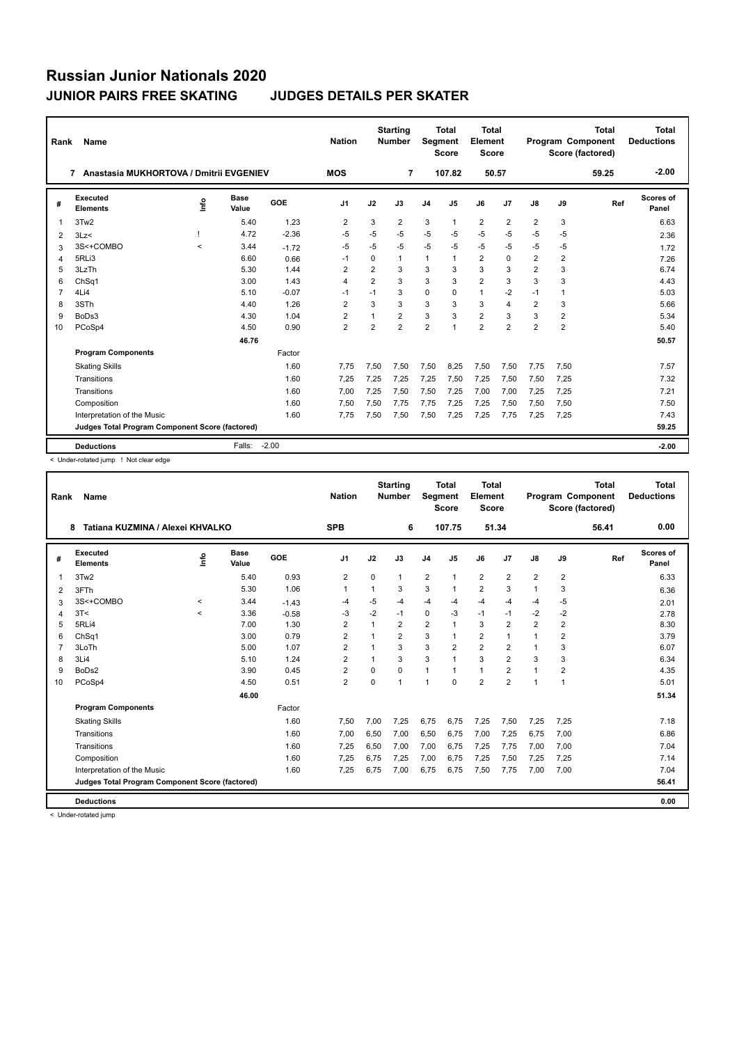| Rank            | Name                                            |         |                      |         | <b>Nation</b>  |                | <b>Starting</b><br><b>Number</b> | Segment        | Total<br><b>Score</b> | <b>Total</b><br>Element<br><b>Score</b> |                |                |                | <b>Total</b><br><b>Program Component</b><br>Score (factored) | Total<br><b>Deductions</b> |
|-----------------|-------------------------------------------------|---------|----------------------|---------|----------------|----------------|----------------------------------|----------------|-----------------------|-----------------------------------------|----------------|----------------|----------------|--------------------------------------------------------------|----------------------------|
|                 | Anastasia MUKHORTOVA / Dmitrii EVGENIEV<br>7    |         |                      |         | <b>MOS</b>     |                | 7                                |                | 107.82                | 50.57                                   |                |                |                | 59.25                                                        | $-2.00$                    |
| #               | Executed<br><b>Elements</b>                     | Info    | <b>Base</b><br>Value | GOE     | J <sub>1</sub> | J2             | J3                               | J <sub>4</sub> | J5                    | J6                                      | J7             | J8             | J9             | Ref                                                          | <b>Scores of</b><br>Panel  |
| $\mathbf 1$     | 3Tw2                                            |         | 5.40                 | 1.23    | $\overline{2}$ | 3              | $\overline{2}$                   | 3              | 1                     | $\overline{2}$                          | $\overline{2}$ | $\overline{2}$ | 3              |                                                              | 6.63                       |
| 2               | 3Lz                                             |         | 4.72                 | $-2.36$ | -5             | $-5$           | $-5$                             | $-5$           | $-5$                  | $-5$                                    | $-5$           | $-5$           | $-5$           |                                                              | 2.36                       |
| 3               | 3S<+COMBO                                       | $\prec$ | 3.44                 | $-1.72$ | -5             | $-5$           | $-5$                             | $-5$           | $-5$                  | $-5$                                    | $-5$           | $-5$           | $-5$           |                                                              | 1.72                       |
| $\overline{4}$  | 5RLi3                                           |         | 6.60                 | 0.66    | $-1$           | $\Omega$       | 1                                | $\mathbf{1}$   | 1                     | $\overline{2}$                          | $\Omega$       | $\overline{2}$ | $\overline{2}$ |                                                              | 7.26                       |
| 5               | 3LzTh                                           |         | 5.30                 | 1.44    | $\overline{2}$ | $\overline{2}$ | 3                                | 3              | 3                     | 3                                       | 3              | $\overline{2}$ | 3              |                                                              | 6.74                       |
| 6               | Ch <sub>Sq1</sub>                               |         | 3.00                 | 1.43    | $\overline{4}$ | $\overline{2}$ | 3                                | 3              | 3                     | $\overline{2}$                          | 3              | 3              | 3              |                                                              | 4.43                       |
| $\overline{7}$  | 4Li4                                            |         | 5.10                 | $-0.07$ | $-1$           | $-1$           | 3                                | $\Omega$       | $\Omega$              | $\mathbf{1}$                            | $-2$           | $-1$           | 1              |                                                              | 5.03                       |
| 8               | 3STh                                            |         | 4.40                 | 1.26    | $\overline{2}$ | 3              | 3                                | 3              | 3                     | 3                                       | $\overline{4}$ | $\overline{2}$ | 3              |                                                              | 5.66                       |
| 9               | BoDs3                                           |         | 4.30                 | 1.04    | 2              |                | $\overline{2}$                   | 3              | 3                     | $\overline{\mathbf{c}}$                 | 3              | 3              | 2              |                                                              | 5.34                       |
| 10 <sup>1</sup> | PCoSp4                                          |         | 4.50                 | 0.90    | $\overline{2}$ | $\overline{2}$ | $\overline{2}$                   | $\overline{2}$ | 1                     | $\overline{2}$                          | $\overline{2}$ | $\overline{2}$ | $\overline{2}$ |                                                              | 5.40                       |
|                 |                                                 |         | 46.76                |         |                |                |                                  |                |                       |                                         |                |                |                |                                                              | 50.57                      |
|                 | <b>Program Components</b>                       |         |                      | Factor  |                |                |                                  |                |                       |                                         |                |                |                |                                                              |                            |
|                 | <b>Skating Skills</b>                           |         |                      | 1.60    | 7.75           | 7.50           | 7.50                             | 7.50           | 8.25                  | 7.50                                    | 7,50           | 7.75           | 7.50           |                                                              | 7.57                       |
|                 | Transitions                                     |         |                      | 1.60    | 7,25           | 7,25           | 7,25                             | 7,25           | 7,50                  | 7,25                                    | 7,50           | 7,50           | 7,25           |                                                              | 7.32                       |
|                 | Transitions                                     |         |                      | 1.60    | 7,00           | 7,25           | 7.50                             | 7,50           | 7.25                  | 7,00                                    | 7,00           | 7,25           | 7,25           |                                                              | 7.21                       |
|                 | Composition                                     |         |                      | 1.60    | 7,50           | 7,50           | 7.75                             | 7,75           | 7.25                  | 7,25                                    | 7,50           | 7,50           | 7,50           |                                                              | 7.50                       |
|                 | Interpretation of the Music                     |         |                      | 1.60    | 7,75           | 7,50           | 7,50                             | 7,50           | 7,25                  | 7,25                                    | 7,75           | 7,25           | 7,25           |                                                              | 7.43                       |
|                 | Judges Total Program Component Score (factored) |         |                      |         |                |                |                                  |                |                       |                                         |                |                |                |                                                              | 59.25                      |
|                 | <b>Deductions</b>                               |         | Falls:               | $-2.00$ |                |                |                                  |                |                       |                                         |                |                |                |                                                              | $-2.00$                    |

< Under-rotated jump ! Not clear edge

| Rank           | Name                                            |         |                      |         | <b>Nation</b>  |          | <b>Starting</b><br><b>Number</b> | Segment        | <b>Total</b><br><b>Score</b> | <b>Total</b><br>Element<br><b>Score</b> |                |                |                      | <b>Total</b><br><b>Program Component</b><br>Score (factored) | <b>Total</b><br><b>Deductions</b> |
|----------------|-------------------------------------------------|---------|----------------------|---------|----------------|----------|----------------------------------|----------------|------------------------------|-----------------------------------------|----------------|----------------|----------------------|--------------------------------------------------------------|-----------------------------------|
|                | Tatiana KUZMINA / Alexei KHVALKO<br>8           |         |                      |         | <b>SPB</b>     |          | 6                                |                | 107.75                       |                                         | 51.34          |                |                      | 56.41                                                        | 0.00                              |
| #              | <b>Executed</b><br><b>Elements</b>              | lnfo    | <b>Base</b><br>Value | GOE     | J <sub>1</sub> | J2       | J3                               | J <sub>4</sub> | J5                           | J6                                      | J <sub>7</sub> | J8             | J9                   | Ref                                                          | <b>Scores of</b><br>Panel         |
| 1              | 3Tw <sub>2</sub>                                |         | 5.40                 | 0.93    | 2              | $\Omega$ | $\mathbf{1}$                     | $\overline{2}$ | $\mathbf{1}$                 | $\overline{2}$                          | $\overline{2}$ | $\overline{2}$ | $\overline{2}$       |                                                              | 6.33                              |
| 2              | 3FTh                                            |         | 5.30                 | 1.06    | 1              |          | 3                                | 3              | 1                            | $\overline{2}$                          | 3              | $\overline{1}$ | 3                    |                                                              | 6.36                              |
| 3              | 3S<+COMBO                                       | $\prec$ | 3.44                 | $-1.43$ | $-4$           | $-5$     | $-4$                             | $-4$           | $-4$                         | $-4$                                    | $-4$           | $-4$           | $-5$                 |                                                              | 2.01                              |
| 4              | 3T<                                             | $\prec$ | 3.36                 | $-0.58$ | $-3$           | $-2$     | $-1$                             | $\Omega$       | $-3$                         | $-1$                                    | $-1$           | $-2$           | $-2$                 |                                                              | 2.78                              |
| 5              | 5RLi4                                           |         | 7.00                 | 1.30    | $\overline{2}$ | 1        | $\overline{2}$                   | $\overline{2}$ | 1                            | 3                                       | $\overline{2}$ | $\overline{2}$ | $\overline{2}$       |                                                              | 8.30                              |
| 6              | ChSq1                                           |         | 3.00                 | 0.79    | $\overline{2}$ | 1        | $\overline{2}$                   | 3              | 1                            | $\overline{2}$                          | 1              | $\mathbf{1}$   | $\overline{2}$       |                                                              | 3.79                              |
| $\overline{7}$ | 3LoTh                                           |         | 5.00                 | 1.07    | $\overline{2}$ | 1        | 3                                | 3              | $\overline{2}$               | $\overline{2}$                          | $\overline{2}$ | $\overline{1}$ | 3                    |                                                              | 6.07                              |
| 8              | 3Li4                                            |         | 5.10                 | 1.24    | $\overline{2}$ | 1        | 3                                | 3              | 1                            | 3                                       | $\overline{2}$ | 3              | 3                    |                                                              | 6.34                              |
| 9              | BoDs2                                           |         | 3.90                 | 0.45    | $\overline{2}$ | $\Omega$ | $\Omega$                         | $\mathbf{1}$   | 1                            | $\mathbf{1}$                            | $\overline{2}$ | $\overline{1}$ | $\overline{2}$       |                                                              | 4.35                              |
| 10             | PCoSp4                                          |         | 4.50                 | 0.51    | $\overline{2}$ | $\Omega$ | 1                                | $\mathbf{1}$   | $\Omega$                     | $\overline{2}$                          | $\overline{2}$ | $\overline{1}$ | $\blacktriangleleft$ |                                                              | 5.01                              |
|                |                                                 |         | 46.00                |         |                |          |                                  |                |                              |                                         |                |                |                      |                                                              | 51.34                             |
|                | <b>Program Components</b>                       |         |                      | Factor  |                |          |                                  |                |                              |                                         |                |                |                      |                                                              |                                   |
|                | <b>Skating Skills</b>                           |         |                      | 1.60    | 7,50           | 7,00     | 7,25                             | 6,75           | 6.75                         | 7,25                                    | 7,50           | 7,25           | 7,25                 |                                                              | 7.18                              |
|                | Transitions                                     |         |                      | 1.60    | 7,00           | 6,50     | 7.00                             | 6,50           | 6,75                         | 7,00                                    | 7,25           | 6.75           | 7,00                 |                                                              | 6.86                              |
|                | Transitions                                     |         |                      | 1.60    | 7,25           | 6,50     | 7.00                             | 7,00           | 6,75                         | 7,25                                    | 7,75           | 7,00           | 7,00                 |                                                              | 7.04                              |
|                | Composition                                     |         |                      | 1.60    | 7,25           | 6,75     | 7,25                             | 7,00           | 6,75                         | 7,25                                    | 7,50           | 7,25           | 7,25                 |                                                              | 7.14                              |
|                | Interpretation of the Music                     |         |                      | 1.60    | 7,25           | 6,75     | 7,00                             | 6,75           | 6,75                         | 7,50                                    | 7,75           | 7,00           | 7,00                 |                                                              | 7.04                              |
|                | Judges Total Program Component Score (factored) |         |                      |         |                |          |                                  |                |                              |                                         |                |                |                      |                                                              | 56.41                             |
|                | <b>Deductions</b>                               |         |                      |         |                |          |                                  |                |                              |                                         |                |                |                      |                                                              | 0.00                              |
|                | < Under-rotated jump                            |         |                      |         |                |          |                                  |                |                              |                                         |                |                |                      |                                                              |                                   |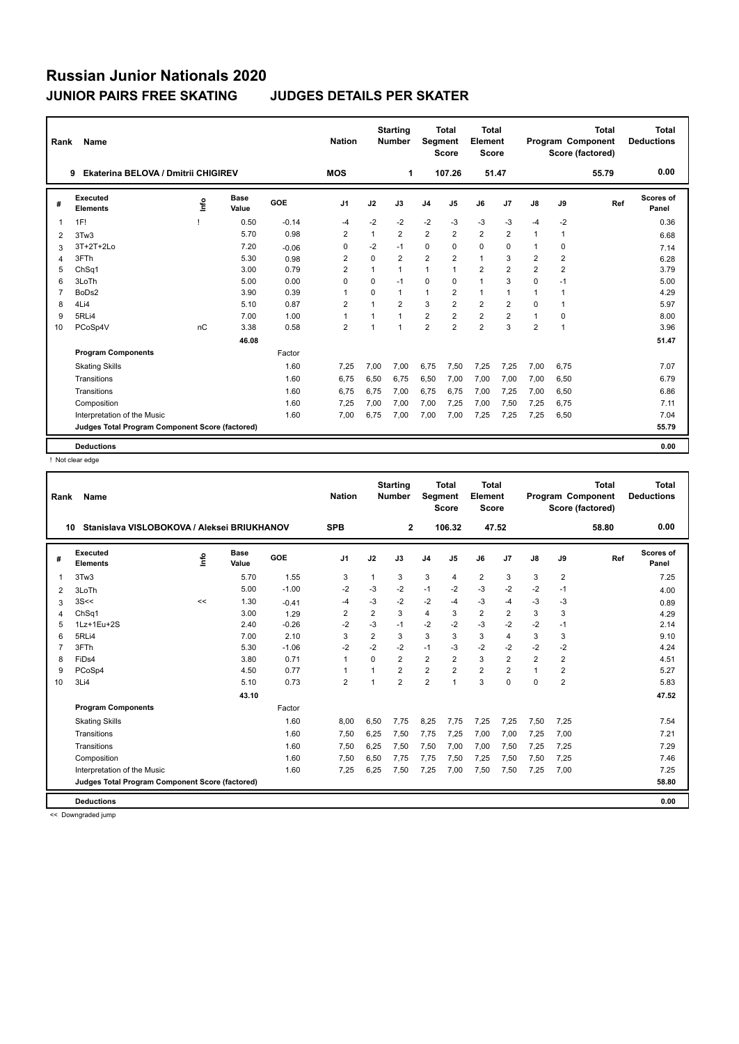| Rank           | <b>Name</b>                                     |      |                      |            | <b>Nation</b>  |                | <b>Starting</b><br><b>Number</b> | Segment        | <b>Total</b><br><b>Score</b> | <b>Total</b><br>Element<br><b>Score</b> |                |                |                         | Total<br>Program Component<br>Score (factored) | <b>Total</b><br><b>Deductions</b> |
|----------------|-------------------------------------------------|------|----------------------|------------|----------------|----------------|----------------------------------|----------------|------------------------------|-----------------------------------------|----------------|----------------|-------------------------|------------------------------------------------|-----------------------------------|
|                | Ekaterina BELOVA / Dmitrii CHIGIREV<br>9        |      |                      |            | <b>MOS</b>     |                | 1                                |                | 107.26                       | 51.47                                   |                |                |                         | 55.79                                          | 0.00                              |
| #              | Executed<br><b>Elements</b>                     | Info | <b>Base</b><br>Value | <b>GOE</b> | J <sub>1</sub> | J2             | J3                               | J <sub>4</sub> | J5                           | J6                                      | J <sub>7</sub> | J8             | J9                      | Ref                                            | Scores of<br>Panel                |
| $\mathbf 1$    | 1F!                                             |      | 0.50                 | $-0.14$    | $-4$           | $-2$           | $-2$                             | $-2$           | $-3$                         | $-3$                                    | $-3$           | $-4$           | $-2$                    |                                                | 0.36                              |
| 2              | 3Tw3                                            |      | 5.70                 | 0.98       | $\overline{2}$ | $\mathbf{1}$   | $\overline{2}$                   | $\overline{2}$ | $\overline{2}$               | $\overline{2}$                          | $\overline{2}$ | $\mathbf{1}$   | 1                       |                                                | 6.68                              |
| 3              | 3T+2T+2Lo                                       |      | 7.20                 | $-0.06$    | 0              | $-2$           | $-1$                             | $\mathbf 0$    | $\mathbf 0$                  | 0                                       | $\mathbf 0$    | 1              | 0                       |                                                | 7.14                              |
| 4              | 3FTh                                            |      | 5.30                 | 0.98       | $\overline{2}$ | $\Omega$       | $\overline{2}$                   | $\overline{2}$ | $\overline{2}$               | $\mathbf{1}$                            | 3              | $\overline{2}$ | $\overline{\mathbf{c}}$ |                                                | 6.28                              |
| 5              | ChSq1                                           |      | 3.00                 | 0.79       | $\overline{2}$ | $\mathbf{1}$   | $\mathbf{1}$                     | $\mathbf{1}$   | 1                            | $\overline{\mathbf{c}}$                 | $\overline{2}$ | $\overline{2}$ | $\overline{\mathbf{c}}$ |                                                | 3.79                              |
| 6              | 3LoTh                                           |      | 5.00                 | 0.00       | $\Omega$       | $\Omega$       | $-1$                             | $\Omega$       | $\Omega$                     | 1                                       | 3              | $\Omega$       | $-1$                    |                                                | 5.00                              |
| $\overline{7}$ | BoDs2                                           |      | 3.90                 | 0.39       | -1             | $\Omega$       | 1                                | $\mathbf{1}$   | $\overline{2}$               | $\mathbf{1}$                            | $\overline{1}$ | 1              | 1                       |                                                | 4.29                              |
| 8              | 4Li4                                            |      | 5.10                 | 0.87       | $\overline{2}$ | $\overline{1}$ | $\overline{2}$                   | 3              | $\overline{2}$               | $\overline{2}$                          | $\overline{2}$ | $\Omega$       | 1                       |                                                | 5.97                              |
| 9              | 5RLi4                                           |      | 7.00                 | 1.00       | $\overline{1}$ | 1              | 1                                | $\overline{2}$ | $\overline{2}$               | $\overline{2}$                          | $\overline{2}$ | 1              | 0                       |                                                | 8.00                              |
| 10             | PCoSp4V                                         | nC   | 3.38                 | 0.58       | $\overline{2}$ | 1              | 1                                | $\overline{2}$ | $\overline{2}$               | $\overline{2}$                          | 3              | $\overline{2}$ | 1                       |                                                | 3.96                              |
|                |                                                 |      | 46.08                |            |                |                |                                  |                |                              |                                         |                |                |                         |                                                | 51.47                             |
|                | <b>Program Components</b>                       |      |                      | Factor     |                |                |                                  |                |                              |                                         |                |                |                         |                                                |                                   |
|                | <b>Skating Skills</b>                           |      |                      | 1.60       | 7,25           | 7,00           | 7,00                             | 6,75           | 7,50                         | 7,25                                    | 7,25           | 7,00           | 6,75                    |                                                | 7.07                              |
|                | Transitions                                     |      |                      | 1.60       | 6.75           | 6.50           | 6.75                             | 6.50           | 7.00                         | 7,00                                    | 7,00           | 7.00           | 6,50                    |                                                | 6.79                              |
|                | Transitions                                     |      |                      | 1.60       | 6,75           | 6,75           | 7,00                             | 6,75           | 6,75                         | 7,00                                    | 7,25           | 7,00           | 6,50                    |                                                | 6.86                              |
|                | Composition                                     |      |                      | 1.60       | 7,25           | 7,00           | 7,00                             | 7,00           | 7,25                         | 7,00                                    | 7,50           | 7,25           | 6,75                    |                                                | 7.11                              |
|                | Interpretation of the Music                     |      |                      | 1.60       | 7.00           | 6.75           | 7.00                             | 7,00           | 7,00                         | 7,25                                    | 7,25           | 7.25           | 6,50                    |                                                | 7.04                              |
|                | Judges Total Program Component Score (factored) |      |                      |            |                |                |                                  |                |                              |                                         |                |                |                         |                                                | 55.79                             |
|                | <b>Deductions</b>                               |      |                      |            |                |                |                                  |                |                              |                                         |                |                |                         |                                                | 0.00                              |

! Not clear edge

| Rank           | Name                                            |    |                      |         | <b>Nation</b>  |                | <b>Starting</b><br><b>Number</b> | Segment        | Total<br><b>Score</b> | <b>Total</b><br>Element<br><b>Score</b> |                |                |                | <b>Total</b><br>Program Component<br>Score (factored) | <b>Total</b><br><b>Deductions</b> |
|----------------|-------------------------------------------------|----|----------------------|---------|----------------|----------------|----------------------------------|----------------|-----------------------|-----------------------------------------|----------------|----------------|----------------|-------------------------------------------------------|-----------------------------------|
| 10             | Stanislava VISLOBOKOVA / Aleksei BRIUKHANOV     |    |                      |         | <b>SPB</b>     |                | $\overline{2}$                   |                | 106.32                | 47.52                                   |                |                |                | 58.80                                                 | 0.00                              |
| #              | Executed<br><b>Elements</b>                     | ۴o | <b>Base</b><br>Value | GOE     | J <sub>1</sub> | J2             | J3                               | J <sub>4</sub> | J <sub>5</sub>        | J6                                      | J7             | $\mathsf{J}8$  | J9             | Ref                                                   | Scores of<br>Panel                |
| 1              | 3Tw3                                            |    | 5.70                 | 1.55    | 3              | $\mathbf{1}$   | 3                                | 3              | 4                     | $\overline{2}$                          | 3              | 3              | $\overline{2}$ |                                                       | 7.25                              |
| 2              | 3LoTh                                           |    | 5.00                 | $-1.00$ | $-2$           | $-3$           | $-2$                             | $-1$           | $-2$                  | $-3$                                    | $-2$           | $-2$           | $-1$           |                                                       | 4.00                              |
| 3              | 3S<<                                            | << | 1.30                 | $-0.41$ | $-4$           | $-3$           | $-2$                             | $-2$           | $-4$                  | $-3$                                    | $-4$           | $-3$           | -3             |                                                       | 0.89                              |
| 4              | ChSq1                                           |    | 3.00                 | 1.29    | $\overline{2}$ | $\overline{2}$ | 3                                | $\overline{4}$ | 3                     | $\overline{2}$                          | 2              | 3              | 3              |                                                       | 4.29                              |
| 5              | 1Lz+1Eu+2S                                      |    | 2.40                 | $-0.26$ | $-2$           | $-3$           | $-1$                             | $-2$           | $-2$                  | $-3$                                    | $-2$           | $-2$           | $-1$           |                                                       | 2.14                              |
| 6              | 5RLi4                                           |    | 7.00                 | 2.10    | 3              | $\overline{2}$ | 3                                | 3              | 3                     | 3                                       | $\overline{4}$ | 3              | 3              |                                                       | 9.10                              |
| $\overline{7}$ | 3FTh                                            |    | 5.30                 | $-1.06$ | $-2$           | $-2$           | $-2$                             | $-1$           | $-3$                  | $-2$                                    | $-2$           | $-2$           | $-2$           |                                                       | 4.24                              |
| 8              | FiDs4                                           |    | 3.80                 | 0.71    | 1              | $\Omega$       | $\overline{2}$                   | $\overline{2}$ | 2                     | 3                                       | $\overline{2}$ | $\overline{2}$ | $\overline{2}$ |                                                       | 4.51                              |
| 9              | PCoSp4                                          |    | 4.50                 | 0.77    | 1              |                | $\overline{2}$                   | $\overline{2}$ | $\overline{2}$        | $\overline{2}$                          | $\overline{2}$ | 1              | $\overline{2}$ |                                                       | 5.27                              |
| 10             | 3Li4                                            |    | 5.10                 | 0.73    | $\overline{2}$ |                | $\overline{2}$                   | $\overline{2}$ | 1                     | 3                                       | $\mathbf 0$    | 0              | $\overline{2}$ |                                                       | 5.83                              |
|                |                                                 |    | 43.10                |         |                |                |                                  |                |                       |                                         |                |                |                |                                                       | 47.52                             |
|                | <b>Program Components</b>                       |    |                      | Factor  |                |                |                                  |                |                       |                                         |                |                |                |                                                       |                                   |
|                | <b>Skating Skills</b>                           |    |                      | 1.60    | 8,00           | 6,50           | 7.75                             | 8,25           | 7,75                  | 7,25                                    | 7,25           | 7,50           | 7,25           |                                                       | 7.54                              |
|                | Transitions                                     |    |                      | 1.60    | 7,50           | 6,25           | 7,50                             | 7,75           | 7,25                  | 7,00                                    | 7,00           | 7,25           | 7,00           |                                                       | 7.21                              |
|                | Transitions                                     |    |                      | 1.60    | 7,50           | 6,25           | 7,50                             | 7,50           | 7,00                  | 7,00                                    | 7,50           | 7,25           | 7,25           |                                                       | 7.29                              |
|                | Composition                                     |    |                      | 1.60    | 7,50           | 6,50           | 7,75                             | 7,75           | 7,50                  | 7,25                                    | 7,50           | 7,50           | 7,25           |                                                       | 7.46                              |
|                | Interpretation of the Music                     |    |                      | 1.60    | 7,25           | 6,25           | 7,50                             | 7,25           | 7,00                  | 7,50                                    | 7,50           | 7,25           | 7,00           |                                                       | 7.25                              |
|                | Judges Total Program Component Score (factored) |    |                      |         |                |                |                                  |                |                       |                                         |                |                |                |                                                       | 58.80                             |
|                | <b>Deductions</b>                               |    |                      |         |                |                |                                  |                |                       |                                         |                |                |                |                                                       | 0.00                              |

<< Downgraded jump